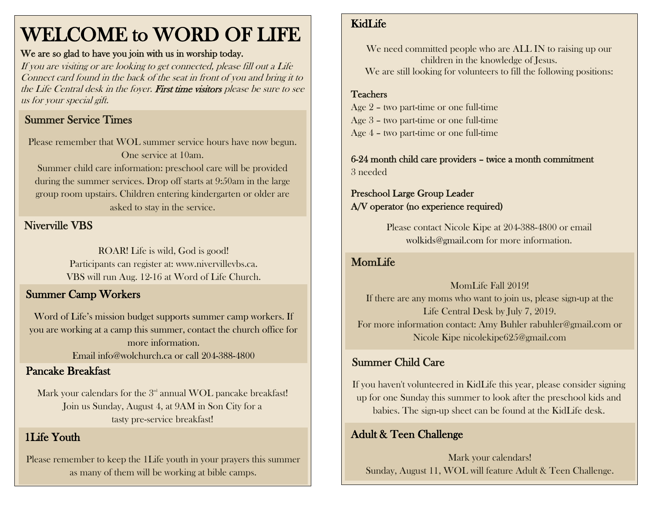## WELCOME to WORD OF LIFE

#### We are so glad to have you join with us in worship today.

If you are visiting or are looking to get connected, please fill out a Life Connect card found in the back of the seat in front of you and bring it to the Life Central desk in the foyer. First time visitors please be sure to see us for your special gift.

## Summer Service Times

Please remember that WOL summer service hours have now begun. One service at 10am. Summer child care information: preschool care will be provided during the summer services. Drop off starts at 9:50am in the large group room upstairs. Children entering kindergarten or older are asked to stay in the service.

## Niverville VBS

ROAR! Life is wild, God is good! Participants can register at: www.nivervillevbs.ca. VBS will run Aug. 12-16 at Word of Life Church.

## Summer Camp Workers

Word of Life's mission budget supports summer camp workers. If you are working at a camp this summer, contact the church office for more information.

Email [info@wolchurch.ca](mailto:info@wolchurch.ca) or call 204-388-4800

## Pancake Breakfast

Mark your calendars for the  $3<sup>rd</sup>$  annual WOL pancake breakfast! Join us Sunday, August 4, at 9AM in Son City for a tasty pre-service breakfast!

## 1Life Youth

Please remember to keep the 1Life youth in your prayers this summer as many of them will be working at bible camps.

## KidLife

We need committed people who are ALL IN to raising up our children in the knowledge of Jesus. We are still looking for volunteers to fill the following positions:

## Teachers

 Age 2 – two part-time or one full-time Age 3 – two part-time or one full-time Age 4 – two part-time or one full-time

6-24 month child care providers – twice a month commitment 3 needed

#### Preschool Large Group Leader A/V operator (no experience required)

Please contact Nicole Kipe at 204-388-4800 or email [wolkids@gmail.com](mailto:wolkids@gmail.com) for more information.

## MomLife

MomLife Fall 2019! If there are any moms who want to join us, please sign-up at the Life Central Desk by July 7, 2019. For more information contact: Amy Buhler [rabuhler@gmail.com](mailto:rabuhler@gmail.com) or Nicole Kipe [nicolekipe625@gmail.com](mailto:nicolekipe625@gmail.com)

## Summer Child Care

If you haven't volunteered in KidLife this year, please consider signing up for one Sunday this summer to look after the preschool kids and babies. The sign-up sheet can be found at the KidLife desk.

## Adult & Teen Challenge

Mark your calendars! Sunday, August 11, WOL will feature Adult & Teen Challenge.